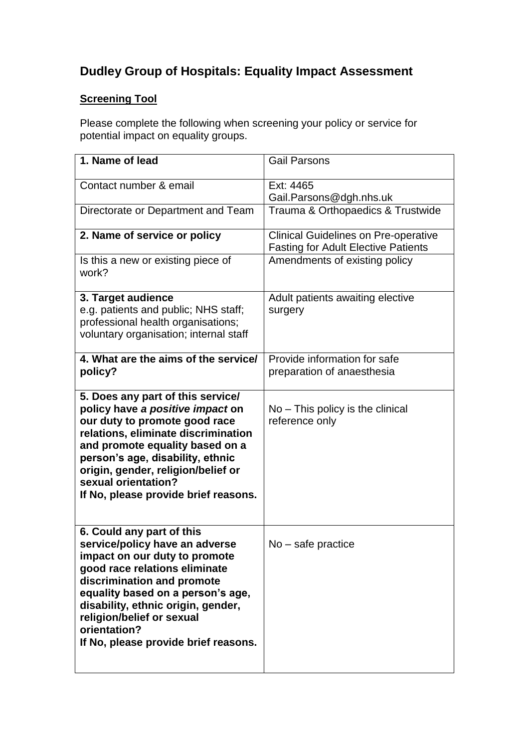## **Dudley Group of Hospitals: Equality Impact Assessment**

## **Screening Tool**

Please complete the following when screening your policy or service for potential impact on equality groups.

| 1. Name of lead                                                                                                                                                                                                                                                                                                             | <b>Gail Parsons</b>                                                                       |
|-----------------------------------------------------------------------------------------------------------------------------------------------------------------------------------------------------------------------------------------------------------------------------------------------------------------------------|-------------------------------------------------------------------------------------------|
| Contact number & email                                                                                                                                                                                                                                                                                                      | Ext: 4465<br>Gail.Parsons@dgh.nhs.uk                                                      |
| Directorate or Department and Team                                                                                                                                                                                                                                                                                          | Trauma & Orthopaedics & Trustwide                                                         |
| 2. Name of service or policy                                                                                                                                                                                                                                                                                                | <b>Clinical Guidelines on Pre-operative</b><br><b>Fasting for Adult Elective Patients</b> |
| Is this a new or existing piece of<br>work?                                                                                                                                                                                                                                                                                 | Amendments of existing policy                                                             |
| 3. Target audience<br>e.g. patients and public; NHS staff;<br>professional health organisations;<br>voluntary organisation; internal staff                                                                                                                                                                                  | Adult patients awaiting elective<br>surgery                                               |
| 4. What are the aims of the service/<br>policy?                                                                                                                                                                                                                                                                             | Provide information for safe<br>preparation of anaesthesia                                |
| 5. Does any part of this service/<br>policy have a positive impact on<br>our duty to promote good race<br>relations, eliminate discrimination<br>and promote equality based on a<br>person's age, disability, ethnic<br>origin, gender, religion/belief or<br>sexual orientation?<br>If No, please provide brief reasons.   | No – This policy is the clinical<br>reference only                                        |
| 6. Could any part of this<br>service/policy have an adverse<br>impact on our duty to promote<br>good race relations eliminate<br>discrimination and promote<br>equality based on a person's age,<br>disability, ethnic origin, gender,<br>religion/belief or sexual<br>orientation?<br>If No, please provide brief reasons. | No - safe practice                                                                        |